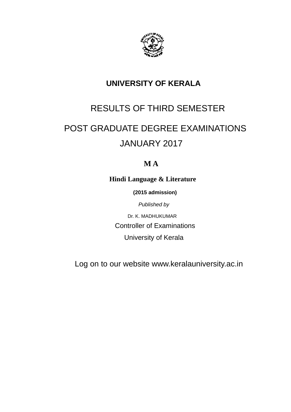

# **UNIVERSITY OF KERALA**

# RESULTS OF THIRD SEMESTER

# POST GRADUATE DEGREE EXAMINATIONS JANUARY 2017

# **M A**

**Hindi Language & Literature**

 **(2015 admission)**

*Published by*

Dr. K. MADHUKUMAR Controller of Examinations University of Kerala

Log on to our website www.keralauniversity.ac.in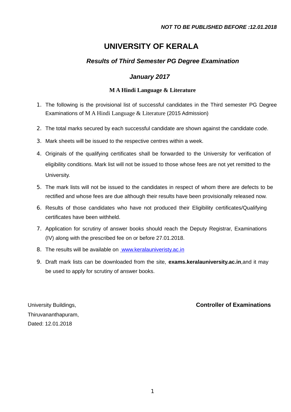# **UNIVERSITY OF KERALA**

## *Results of Third Semester PG Degree Examination*

### *January 2017*

### **M A Hindi Language & Literature**

- 1. The following is the provisional list of successful candidates in the Third semester PG Degree Examinations of M A Hindi Language & Literature (2015 Admission)
- 2. The total marks secured by each successful candidate are shown against the candidate code.
- 3. Mark sheets will be issued to the respective centres within a week.
- 4. Originals of the qualifying certificates shall be forwarded to the University for verification of eligibility conditions. Mark list will not be issued to those whose fees are not yet remitted to the University.
- 5. The mark lists will not be issued to the candidates in respect of whom there are defects to be rectified and whose fees are due although their results have been provisionally released now.
- 6. Results of those candidates who have not produced their Eligibility certificates/Qualifying certificates have been withheld.
- 7. Application for scrutiny of answer books should reach the Deputy Registrar, Examinations (IV) along with the prescribed fee on or before 27.01.2018.
- 8. The results will be available on [www.keralauniveristy.ac.in](http://www.keralauniveristy.ac.in/)
- 9. Draft mark lists can be downloaded from the site, **exams.keralauniversity.ac.in**,and it may be used to apply for scrutiny of answer books.

Thiruvananthapuram, Dated: 12.01.2018

### University Buildings, **Controller of Examinations**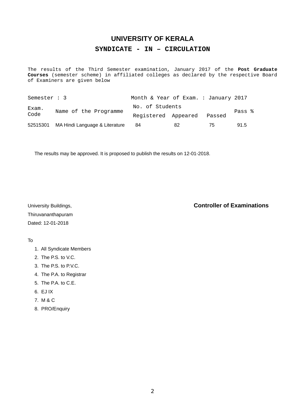# **UNIVERSITY OF KERALA SYNDICATE - IN – CIRCULATION**

The results of the Third Semester examination, January 2017 of the **Post Graduate Courses** (semester scheme) in affiliated colleges as declared by the respective Board of Examiners are given below

| Semester : 3  |                                         | Month & Year of Exam. : January 2017 |    |        |        |
|---------------|-----------------------------------------|--------------------------------------|----|--------|--------|
| Exam.<br>Code | Name of the Programme                   | No. of Students                      |    |        | Pass % |
|               |                                         | Registered Appeared                  |    | Passed |        |
|               | 52515301 MA Hindi Language & Literature | 84                                   | 82 | 75     | 91.5   |

The results may be approved. It is proposed to publish the results on 12-01-2018.

Thiruvananthapuram Dated: 12-01-2018

### University Buildings, **Controller of Examinations**

### To

- 1. All Syndicate Members
- 2. The P.S. to V.C.
- 3. The P.S. to P.V.C.
- 4. The P.A. to Registrar
- 5. The P.A. to C.E.
- 6. EJ IX
- 7. M & C
- 8. PRO/Enquiry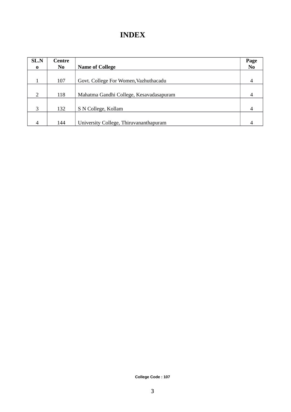# **INDEX**

| SL.N        | Centre         |                                         | Page           |
|-------------|----------------|-----------------------------------------|----------------|
| $\mathbf 0$ | N <sub>0</sub> | <b>Name of College</b>                  | N <sub>0</sub> |
|             |                |                                         |                |
|             | 107            | Govt. College For Women, Vazhuthacadu   | 4              |
|             |                |                                         |                |
| 2           | 118            | Mahatma Gandhi College, Kesavadasapuram |                |
|             |                |                                         |                |
| 3           | 132            | S N College, Kollam                     | 4              |
|             |                |                                         |                |
| 4           | 144            | University College, Thiruvananthapuram  |                |

**College Code : 107**